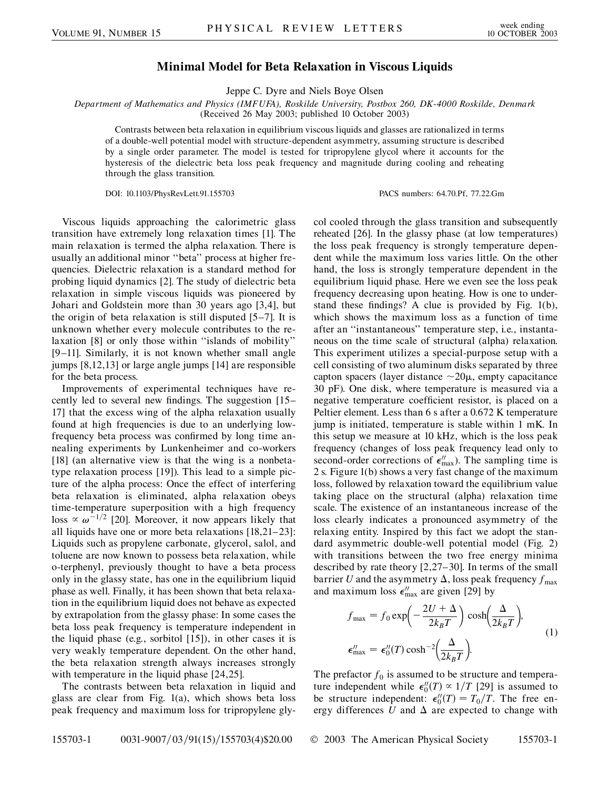## **Minimal Model for Beta Relaxation in Viscous Liquids**

Jeppe C. Dyre and Niels Boye Olsen

*Department of Mathematics and Physics (IMFUFA), Roskilde University, Postbox 260, DK-4000 Roskilde, Denmark* (Received 26 May 2003; published 10 October 2003)

Contrasts between beta relaxation in equilibrium viscous liquids and glasses are rationalized in terms of a double-well potential model with structure-dependent asymmetry, assuming structure is described by a single order parameter. The model is tested for tripropylene glycol where it accounts for the hysteresis of the dielectric beta loss peak frequency and magnitude during cooling and reheating through the glass transition.

DOI: 10.1103/PhysRevLett.91.155703 PACS numbers: 64.70.Pf, 77.22.Gm

Viscous liquids approaching the calorimetric glass transition have extremely long relaxation times [1]. The main relaxation is termed the alpha relaxation. There is usually an additional minor ''beta'' process at higher frequencies. Dielectric relaxation is a standard method for probing liquid dynamics [2]. The study of dielectric beta relaxation in simple viscous liquids was pioneered by Johari and Goldstein more than 30 years ago [3,4], but the origin of beta relaxation is still disputed [5–7]. It is unknown whether every molecule contributes to the relaxation [8] or only those within ''islands of mobility'' [9–11]. Similarly, it is not known whether small angle jumps [8,12,13] or large angle jumps [14] are responsible for the beta process.

Improvements of experimental techniques have recently led to several new findings. The suggestion [15– 17] that the excess wing of the alpha relaxation usually found at high frequencies is due to an underlying lowfrequency beta process was confirmed by long time annealing experiments by Lunkenheimer and co-workers [18] (an alternative view is that the wing is a nonbetatype relaxation process [19]). This lead to a simple picture of the alpha process: Once the effect of interfering beta relaxation is eliminated, alpha relaxation obeys time-temperature superposition with a high frequency loss  $\propto \omega^{-1/2}$  [20]. Moreover, it now appears likely that all liquids have one or more beta relaxations [18,21–23]: Liquids such as propylene carbonate, glycerol, salol, and toluene are now known to possess beta relaxation, while o-terphenyl, previously thought to have a beta process only in the glassy state, has one in the equilibrium liquid phase as well. Finally, it has been shown that beta relaxation in the equilibrium liquid does not behave as expected by extrapolation from the glassy phase: In some cases the beta loss peak frequency is temperature independent in the liquid phase (e.g., sorbitol [15]), in other cases it is very weakly temperature dependent. On the other hand, the beta relaxation strength always increases strongly with temperature in the liquid phase [24,25].

The contrasts between beta relaxation in liquid and glass are clear from Fig. 1(a), which shows beta loss peak frequency and maximum loss for tripropylene glycol cooled through the glass transition and subsequently reheated [26]. In the glassy phase (at low temperatures) the loss peak frequency is strongly temperature dependent while the maximum loss varies little. On the other hand, the loss is strongly temperature dependent in the equilibrium liquid phase. Here we even see the loss peak frequency decreasing upon heating. How is one to understand these findings? A clue is provided by Fig. 1(b), which shows the maximum loss as a function of time after an ''instantaneous'' temperature step, i.e., instantaneous on the time scale of structural (alpha) relaxation. This experiment utilizes a special-purpose setup with a cell consisting of two aluminum disks separated by three capton spacers (layer distance  $\sim$  20 $\mu$ , empty capacitance 30 pF). One disk, where temperature is measured via a negative temperature coefficient resistor, is placed on a Peltier element. Less than 6 s after a 0.672 K temperature jump is initiated, temperature is stable within 1 mK. In this setup we measure at 10 kHz, which is the loss peak frequency (changes of loss peak frequency lead only to second-order corrections of  $\epsilon_{\text{max}}^{\prime\prime}$ ). The sampling time is 2 s. Figure 1(b) shows a very fast change of the maximum loss, followed by relaxation toward the equilibrium value taking place on the structural (alpha) relaxation time scale. The existence of an instantaneous increase of the loss clearly indicates a pronounced asymmetry of the relaxing entity. Inspired by this fact we adopt the standard asymmetric double-well potential model (Fig. 2) with transitions between the two free energy minima described by rate theory [2,27–30]. In terms of the small barrier *U* and the asymmetry  $\Delta$ , loss peak frequency  $f_{\text{max}}$ and maximum loss  $\epsilon_{\text{max}}^{\prime\prime}$  are given [29] by

$$
f_{\text{max}} = f_0 \exp\left(-\frac{2U + \Delta}{2k_B T}\right) \cosh\left(\frac{\Delta}{2k_B T}\right),
$$
  

$$
\epsilon_{\text{max}}^{\prime\prime} = \epsilon_0^{\prime\prime}(T) \cosh^{-2}\left(\frac{\Delta}{2k_B T}\right).
$$
 (1)

The prefactor  $f_0$  is assumed to be structure and temperature independent while  $\epsilon_0''(T) \propto 1/T$  [29] is assumed to be structure independent:  $\epsilon_0''(T) = T_0/T$ . The free energy differences  $U$  and  $\Delta$  are expected to change with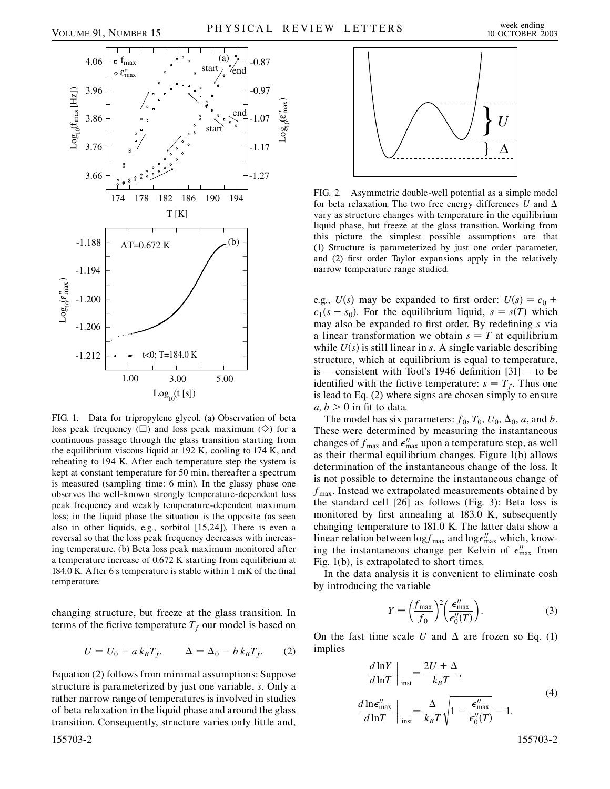$\mathrm{Log}_{\mathsf{n}}(\boldsymbol{\epsilon}_{\max}^{\shortparallel})$ 

max  $\mathop{=}$ 



FIG. 1. Data for tripropylene glycol. (a) Observation of beta loss peak frequency  $(\Box)$  and loss peak maximum  $(\Diamond)$  for a continuous passage through the glass transition starting from the equilibrium viscous liquid at 192 K, cooling to 174 K, and reheating to 194 K. After each temperature step the system is kept at constant temperature for 50 min, thereafter a spectrum is measured (sampling time: 6 min). In the glassy phase one observes the well-known strongly temperature-dependent loss peak frequency and weakly temperature-dependent maximum loss; in the liquid phase the situation is the opposite (as seen also in other liquids, e.g., sorbitol [15,24]). There is even a reversal so that the loss peak frequency decreases with increasing temperature. (b) Beta loss peak maximum monitored after a temperature increase of 0.672 K starting from equilibrium at 184.0 K. After 6 s temperature is stable within 1 mK of the final temperature.

changing structure, but freeze at the glass transition. In terms of the fictive temperature  $T_f$  our model is based on

$$
U = U_0 + a k_B T_f, \qquad \Delta = \Delta_0 - b k_B T_f. \tag{2}
$$

Equation (2) follows from minimal assumptions: Suppose structure is parameterized by just one variable, *s*. Only a rather narrow range of temperatures is involved in studies of beta relaxation in the liquid phase and around the glass transition. Consequently, structure varies only little and,



FIG. 2. Asymmetric double-well potential as a simple model for beta relaxation. The two free energy differences U and  $\Delta$ vary as structure changes with temperature in the equilibrium liquid phase, but freeze at the glass transition. Working from this picture the simplest possible assumptions are that (1) Structure is parameterized by just one order parameter, and (2) first order Taylor expansions apply in the relatively narrow temperature range studied.

e.g.,  $U(s)$  may be expanded to first order:  $U(s) = c_0 + c_1$  $c_1(s - s_0)$ . For the equilibrium liquid,  $s = s(T)$  which may also be expanded to first order. By redefining *s* via a linear transformation we obtain  $s = T$  at equilibrium while  $U(s)$  is still linear in *s*. A single variable describing structure, which at equilibrium is equal to temperature, is — consistent with Tool's 1946 definition [31] — to be identified with the fictive temperature:  $s = T_f$ . Thus one is lead to Eq. (2) where signs are chosen simply to ensure  $a, b > 0$  in fit to data.

The model has six parameters:  $f_0$ ,  $T_0$ ,  $U_0$ ,  $\Delta_0$ , a, and *b*. These were determined by measuring the instantaneous changes of  $f_{\text{max}}$  and  $\epsilon_{\text{max}}^{\prime\prime}$  upon a temperature step, as well as their thermal equilibrium changes. Figure 1(b) allows determination of the instantaneous change of the loss. It is not possible to determine the instantaneous change of  $f_{\text{max}}$ . Instead we extrapolated measurements obtained by the standard cell [26] as follows (Fig. 3): Beta loss is monitored by first annealing at 183.0 K, subsequently changing temperature to 181.0 K. The latter data show a linear relation between  $\log f_{\text{max}}$  and  $\log \epsilon_{\text{max}}^{"}$  which, knowing the instantaneous change per Kelvin of  $\epsilon_{\text{max}}^{\prime\prime}$  from Fig. 1(b), is extrapolated to short times.

In the data analysis it is convenient to eliminate cosh by introducing the variable

$$
Y \equiv \left(\frac{f_{\text{max}}}{f_0}\right)^2 \left(\frac{\epsilon_{\text{max}}''}{\epsilon_0''(T)}\right). \tag{3}
$$

On the fast time scale U and  $\Delta$  are frozen so Eq. (1) implies

$$
\frac{d \ln Y}{d \ln T}\Big|_{\text{inst}} = \frac{2U + \Delta}{k_B T},
$$
\n
$$
\frac{d \ln \epsilon_{\text{max}}^{\prime\prime}}{d \ln T}\Big|_{\text{inst}} = \frac{\Delta}{k_B T} \sqrt{1 - \frac{\epsilon_{\text{max}}^{\prime\prime}}{\epsilon_0^{\prime\prime}(T)}} - 1.
$$
\n(4)

155703-2 155703-2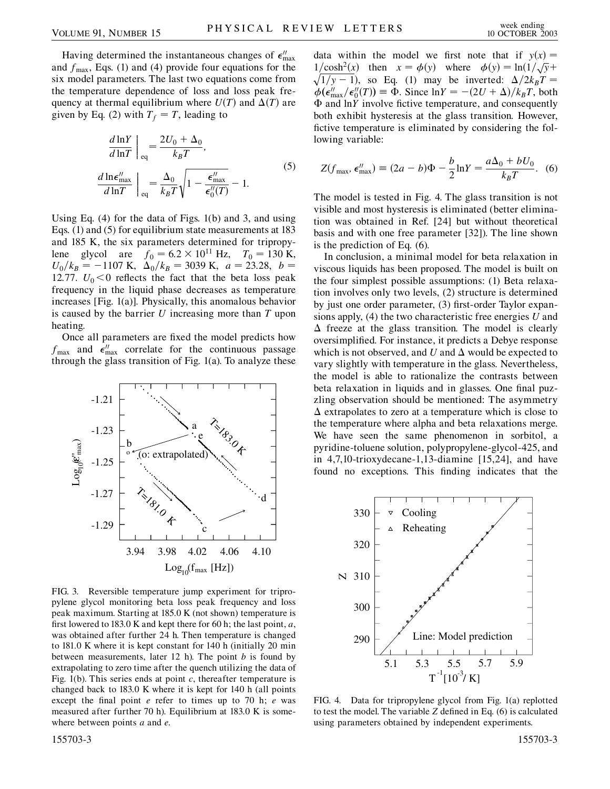Having determined the instantaneous changes of  $\epsilon_{\text{max}}^{\prime\prime}$ and  $f_{\text{max}}$ , Eqs. (1) and (4) provide four equations for the six model parameters. The last two equations come from the temperature dependence of loss and loss peak frequency at thermal equilibrium where  $U(T)$  and  $\Delta(T)$  are given by Eq. (2) with  $T_f = T$ , leading to

$$
\frac{d \ln Y}{d \ln T}\Big|_{\text{eq}} = \frac{2U_0 + \Delta_0}{k_B T},
$$
\n
$$
\frac{d \ln \epsilon_{\text{max}}''}{d \ln T}\Big|_{\text{eq}} = \frac{\Delta_0}{k_B T} \sqrt{1 - \frac{\epsilon_{\text{max}}''}{\epsilon_0''(T)}} - 1.
$$
\n(5)

Using Eq. (4) for the data of Figs. 1(b) and 3, and using Eqs. (1) and (5) for equilibrium state measurements at 183 and 185 K, the six parameters determined for tripropylene glycol are  $f_0 = 6.2 \times 10^{11}$  Hz,  $T_0 = 130$  K,  $U_0/k_B = -1107$  K,  $\Delta_0/k_B = 3039$  K,  $a = 23.28$ ,  $b =$ 12.77.  $U_0 < 0$  reflects the fact that the beta loss peak frequency in the liquid phase decreases as temperature increases [Fig. 1(a)]. Physically, this anomalous behavior is caused by the barrier *U* increasing more than *T* upon heating.

Once all parameters are fixed the model predicts how  $f_{\text{max}}$  and  $\epsilon_{\text{max}}^{\prime\prime}$  correlate for the continuous passage through the glass transition of Fig. 1(a). To analyze these



FIG. 3. Reversible temperature jump experiment for tripropylene glycol monitoring beta loss peak frequency and loss peak maximum. Starting at 185.0 K (not shown) temperature is first lowered to 183.0 K and kept there for 60 h; the last point, *a*, was obtained after further 24 h. Then temperature is changed to 181.0 K where it is kept constant for 140 h (initially 20 min between measurements, later 12 h). The point *b* is found by extrapolating to zero time after the quench utilizing the data of Fig. 1(b). This series ends at point *c*, thereafter temperature is changed back to 183.0 K where it is kept for 140 h (all points except the final point *e* refer to times up to 70 h; *e* was measured after further 70 h). Equilibrium at 183.0 K is somewhere between points *a* and *e*.

data within the model we first note that if  $y(x) =$  $1/\cosh^2(x)$  then  $x = \phi(y)$  where  $\phi(y) = \ln(1/\sqrt{y} +$ <br>  $\sqrt{1/\cosh^2(x)}$  or Eq. (1) were being the interested  $\phi(2L/T)$  $\sqrt{1/y - 1}$ , so Eq. (1) may be inverted:  $\Delta/2k_BT =$  $\dot{\phi}(\epsilon_{\text{max}}^{\prime\prime}/\epsilon_0^{\prime\prime}(T)) \equiv \Phi$ . Since  $\ln Y = -(2U + \Delta)/k_B T$ , both and ln*Y* involve fictive temperature, and consequently both exhibit hysteresis at the glass transition. However, fictive temperature is eliminated by considering the following variable:

$$
Z(f_{\text{max}}, \epsilon_{\text{max}}^{\prime\prime}) \equiv (2a - b)\Phi - \frac{b}{2}\ln Y = \frac{a\Delta_0 + bU_0}{k_B T}.
$$
 (6)

The model is tested in Fig. 4. The glass transition is not visible and most hysteresis is eliminated (better elimination was obtained in Ref. [24] but without theoretical basis and with one free parameter [32]). The line shown is the prediction of Eq. (6).

In conclusion, a minimal model for beta relaxation in viscous liquids has been proposed. The model is built on the four simplest possible assumptions: (1) Beta relaxation involves only two levels, (2) structure is determined by just one order parameter, (3) first-order Taylor expansions apply, (4) the two characteristic free energies *U* and  $\Delta$  freeze at the glass transition. The model is clearly oversimplified. For instance, it predicts a Debye response which is not observed, and  $U$  and  $\Delta$  would be expected to vary slightly with temperature in the glass. Nevertheless, the model is able to rationalize the contrasts between beta relaxation in liquids and in glasses. One final puzzling observation should be mentioned: The asymmetry  $\Delta$  extrapolates to zero at a temperature which is close to the temperature where alpha and beta relaxations merge. We have seen the same phenomenon in sorbitol, a pyridine-toluene solution, polypropylene-glycol-425, and in 4,7,10-trioxydecane-1,13-diamine [15,24], and have found no exceptions. This finding indicates that the



FIG. 4. Data for tripropylene glycol from Fig. 1(a) replotted to test the model. The variable *Z* defined in Eq. (6) is calculated using parameters obtained by independent experiments.